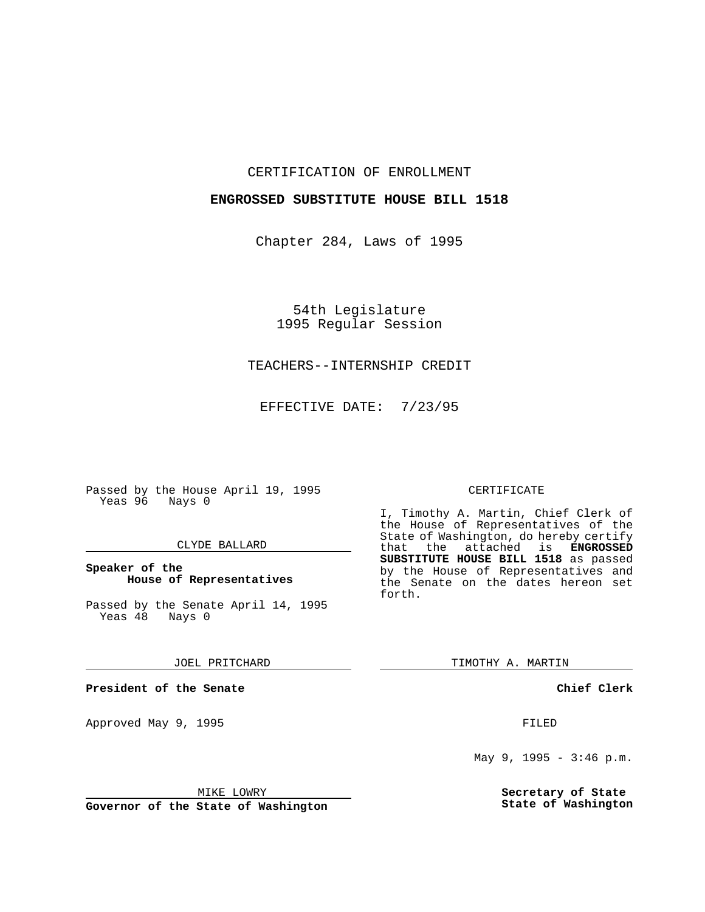CERTIFICATION OF ENROLLMENT

## **ENGROSSED SUBSTITUTE HOUSE BILL 1518**

Chapter 284, Laws of 1995

54th Legislature 1995 Regular Session

## TEACHERS--INTERNSHIP CREDIT

EFFECTIVE DATE: 7/23/95

Passed by the House April 19, 1995 Yeas 96 Nays 0

#### CLYDE BALLARD

**Speaker of the House of Representatives**

Passed by the Senate April 14, 1995<br>Yeas 48 Nays 0 Yeas 48

JOEL PRITCHARD

**President of the Senate**

Approved May 9, 1995 **FILED** 

MIKE LOWRY

**Governor of the State of Washington**

### CERTIFICATE

I, Timothy A. Martin, Chief Clerk of the House of Representatives of the State of Washington, do hereby certify<br>that the attached is **ENGROSSED** the attached is **ENGROSSED SUBSTITUTE HOUSE BILL 1518** as passed by the House of Representatives and the Senate on the dates hereon set forth.

TIMOTHY A. MARTIN

**Chief Clerk**

May 9, 1995 - 3:46 p.m.

**Secretary of State State of Washington**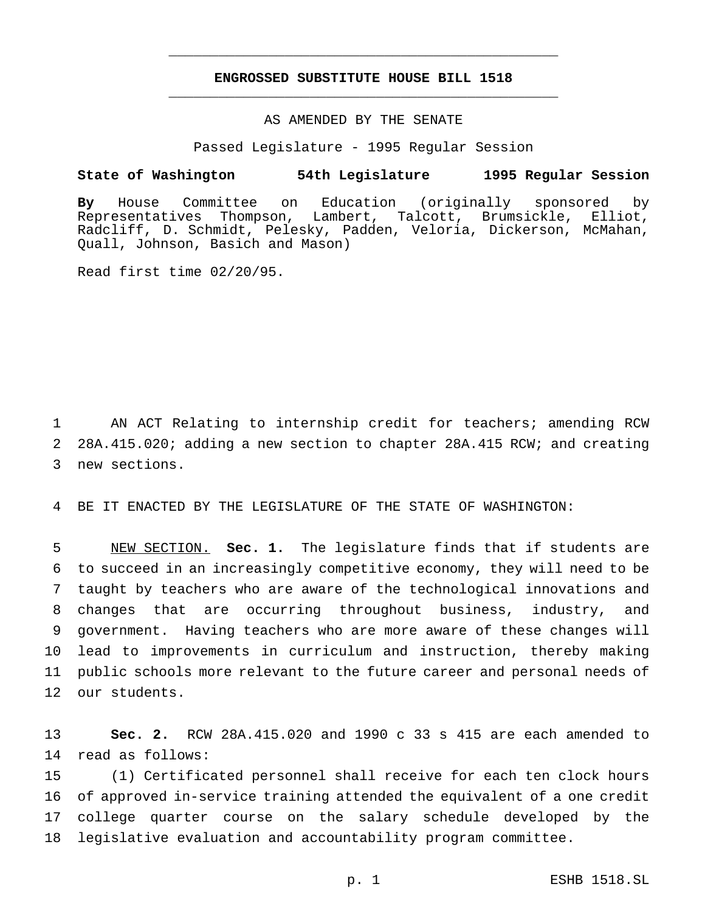# **ENGROSSED SUBSTITUTE HOUSE BILL 1518** \_\_\_\_\_\_\_\_\_\_\_\_\_\_\_\_\_\_\_\_\_\_\_\_\_\_\_\_\_\_\_\_\_\_\_\_\_\_\_\_\_\_\_\_\_\_\_

\_\_\_\_\_\_\_\_\_\_\_\_\_\_\_\_\_\_\_\_\_\_\_\_\_\_\_\_\_\_\_\_\_\_\_\_\_\_\_\_\_\_\_\_\_\_\_

## AS AMENDED BY THE SENATE

Passed Legislature - 1995 Regular Session

### **State of Washington 54th Legislature 1995 Regular Session**

**By** House Committee on Education (originally sponsored by Representatives Thompson, Lambert, Talcott, Brumsickle, Elliot, Radcliff, D. Schmidt, Pelesky, Padden, Veloria, Dickerson, McMahan, Quall, Johnson, Basich and Mason)

Read first time 02/20/95.

1 AN ACT Relating to internship credit for teachers; amending RCW 2 28A.415.020; adding a new section to chapter 28A.415 RCW; and creating 3 new sections.

4 BE IT ENACTED BY THE LEGISLATURE OF THE STATE OF WASHINGTON:

 NEW SECTION. **Sec. 1.** The legislature finds that if students are to succeed in an increasingly competitive economy, they will need to be taught by teachers who are aware of the technological innovations and changes that are occurring throughout business, industry, and government. Having teachers who are more aware of these changes will lead to improvements in curriculum and instruction, thereby making public schools more relevant to the future career and personal needs of our students.

13 **Sec. 2.** RCW 28A.415.020 and 1990 c 33 s 415 are each amended to 14 read as follows:

 (1) Certificated personnel shall receive for each ten clock hours of approved in-service training attended the equivalent of a one credit college quarter course on the salary schedule developed by the legislative evaluation and accountability program committee.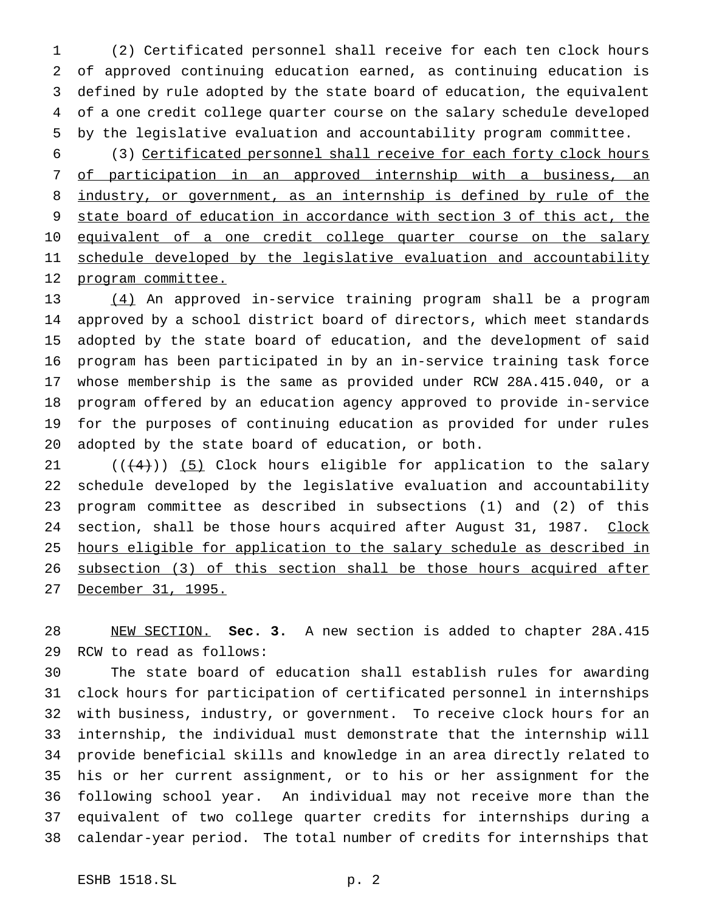(2) Certificated personnel shall receive for each ten clock hours of approved continuing education earned, as continuing education is defined by rule adopted by the state board of education, the equivalent of a one credit college quarter course on the salary schedule developed by the legislative evaluation and accountability program committee.

 (3) Certificated personnel shall receive for each forty clock hours of participation in an approved internship with a business, an 8 industry, or government, as an internship is defined by rule of the state board of education in accordance with section 3 of this act, the 10 equivalent of a one credit college quarter course on the salary 11 schedule developed by the legislative evaluation and accountability 12 program committee.

 (4) An approved in-service training program shall be a program approved by a school district board of directors, which meet standards adopted by the state board of education, and the development of said program has been participated in by an in-service training task force whose membership is the same as provided under RCW 28A.415.040, or a program offered by an education agency approved to provide in-service for the purposes of continuing education as provided for under rules adopted by the state board of education, or both.

 $((+4))$   $(5)$  Clock hours eligible for application to the salary schedule developed by the legislative evaluation and accountability program committee as described in subsections (1) and (2) of this 24 section, shall be those hours acquired after August 31, 1987. Clock hours eligible for application to the salary schedule as described in subsection (3) of this section shall be those hours acquired after December 31, 1995.

 NEW SECTION. **Sec. 3.** A new section is added to chapter 28A.415 RCW to read as follows:

 The state board of education shall establish rules for awarding clock hours for participation of certificated personnel in internships with business, industry, or government. To receive clock hours for an internship, the individual must demonstrate that the internship will provide beneficial skills and knowledge in an area directly related to his or her current assignment, or to his or her assignment for the following school year. An individual may not receive more than the equivalent of two college quarter credits for internships during a calendar-year period. The total number of credits for internships that